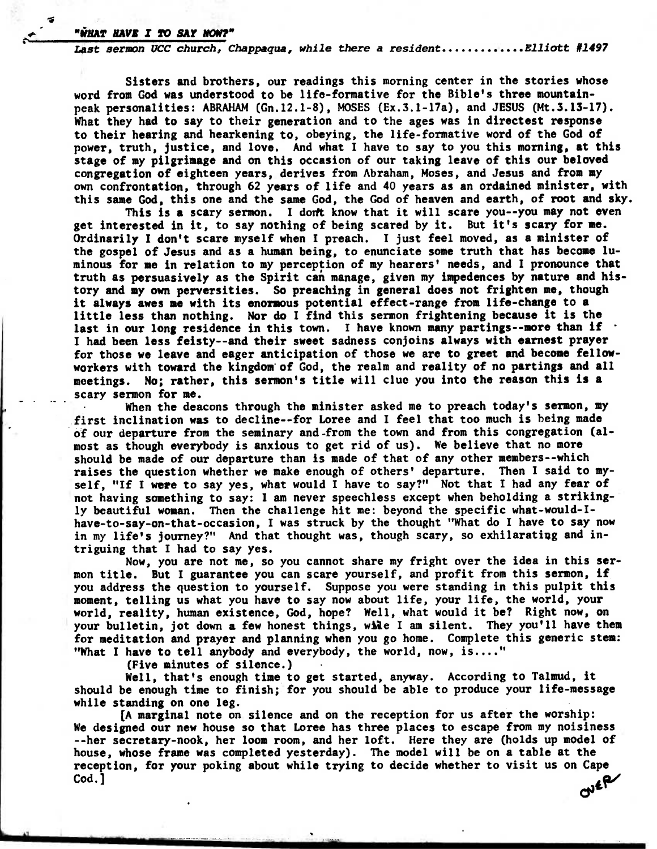## *p. "\*HAT Han I To SAY Now"*

*4* 

Last sermon UCC church, Chappaqua, while there a resident............Elliott #1497

**Sisters and brothers, our readings this morning center in the stories whose word from God was understood to be life-formative for the Bible's three mountainpeak personalities: ABRAHAM (Gn.12.1-8), MOSES (Ex.3.1-17a), and JESUS (Mt.3.13-17). What they had to say to their generation and to the ages was in directest response to their hearing and hearkening to, obeying, the life-formative word of the God of power, truth, justice, and love. And what I have to say to you this morning, at this stage of my pilgrimage and on this occasion of our taking leave of this our beloved congregation of eighteen years, derives from Abraham, Moses, and Jesus and from my own confrontation, through 62 years of life and 40 years as an ordained minister, with this same God, this one and the same God, the God of heaven and earth, of root and sky.** 

This is a scary sermon. I don't know that it will scare you--you may not even **get interested in it, to say nothing of being scared by it. But it's scary for me. Ordinarily I don't scare myself when I preach. I just feel moved, as a minister of the gospel of Jesus and as a human being, to enunciate some truth that has become luminous for me in relation to my perception of my hearers' needs, and I pronounce that truth as persuasively as the Spirit can manage, given my impedences by nature and history and my own perversities. So preaching in general does not frighten me, though it always awes me with its enormous potential effect-range from life-change to a little less than nothing. Nor do I find this sermon frightening because it is the**  last in our long residence in this town. I have known many partings--more than if **I had been less feisty—and their sweet sadness conjoins always with earnest prayer for those we leave and eager anticipation of those we are to greet and become fellow**workers with toward the kingdom of God, the realm and reality of no partings and all **meetings. No; rather, this sermon's title will clue you into the reason this is a scary sermon for me.** 

**When the deacons through the minister asked me to preach today's sermon, my first inclination was to decline--for Loree and I feel that too much is being made of our departure from the seminary and-from the town and from this congregation (almost as though everybody is anxious to get rid of us). We believe that no more should be made of our departure than is made of that of any other members--which raises the question whether we make enough of others' departure. Then I said to myself, "If I were to say yes, what would I have to say?" Not that I had any fear of not having something to say: I am never speechless except when beholding a strikingly beautiful woman. Then the challenge hit me: beyond the specific what-would-Ihave-to-say-on-that-occasion, I was struck by the thought "What do I have to say now**  in my life's journey?" And that thought was, though scary, so exhilarating and in**triguing that I had to say yes.** 

**Now, you are not me, so you cannot share my fright over the idea in this sermon title. But I guarantee you can scare yourself, and profit from this sermon, if you address the question to yourself. Suppose you were standing in this pulpit this moment, telling us what you have to say now about life, your life, the world, your world, reality, human existence, God, hope? Well, what would it be? Right now, on your bulletin, jot down a few honest things, wile I am silent. They you'll have them for meditation and prayer and planning when you go home. Complete this generic sten: "What I have to tell anybody and everybody, the world, now, is...."** 

**(Five minutes of silence.)** 

**Well, that's enough time to get started, anyway. According to Talmud, it should be enough time to finish; for you should be able to produce your life-message while standing on one leg.** 

**[A marginal note on silence and on the reception for us after the worship: We designed our new house so that Loree has three places to escape from my noisiness --her secretary-nook, her loom room, and her loft. Here they are (holds up model of house, whose frame was completed yesterday). The model will be on a table at the reception, for your poking about while trying to decide whether to visit us on Cape Cod.]**   $C^{16}R$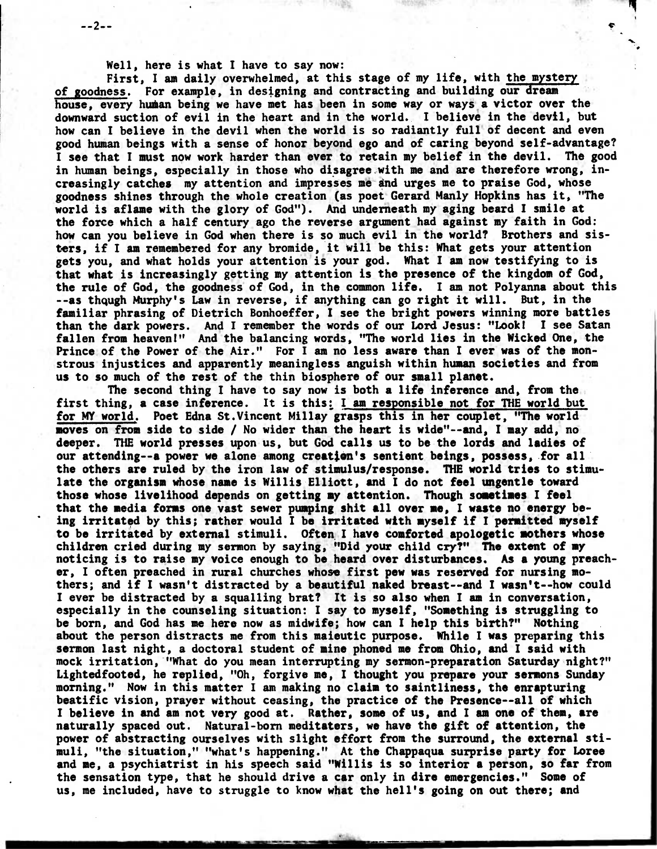**Well, here is what I have to say now:** 

**--2--** 

**First, I am daily overwhelmed, at this stage of my life, with the mystery of goodness. For example, in designing and contracting and building our dream**  house, every human being we have met has been in some way or ways a victor over the **downward suction of evil in the heart and in the world. I believe in the devil, but how can I believe in the devil when the world is so radiantly full of decent and even good human beings with a sense of honor beyond ego and of caring beyond self-advantage? I see that I must now work harder than ever to retain my belief in the devil. The good in human beings, especially in those who disagree with me and are therefore wrong, increasingly catches my attention and impresses me ind urges me to praise God, whose goodness shines through the whole creation (as poet Gerard Manly Hopkins has it, "The world is aflame with the glory of God"). And underneath my aging beard I smile at the force which a half century ago the reverse argument had against my faith in God: how can you believe in God when there is so much evil in the world? Brothers and sisters, if I am remembered for any bromide, it will be this: What gets your attention gets you, and what holds your attention is your god. What I am now testifying to is that what is increasingly getting my attention is the presence of the kingdom of God, the rule of God, the goodness of God, in the common life. I am not Polyanna about this --as thqugh MUrphy's Law in reverse, if anything can go right it will. But, in the familiar phrasing of Dietrich Bonhoeffer, I see the bright powers winning more battles than the dark powers. And I remember the words of our Lord Jesus: "Look! I see Satan fallen from heaven!" And the balancing words, "The world lies in the Wicked One, the Prince of the Power of the Air." For I am no less aware than I ever was of the monstrous injustices and apparently meaningless anguish within human societies and from us to so much of the rest of the thin biosphere of our small planet.** 

**The second thing I have to say now is both a life inference and, from the**  first thing, a case inference. It is this: I am responsible not for THE world but **for MY world. Poet Edna St.Vincent Millay grasps this in her couplet, "The world moves on from side to side / No wider than the heart is wide"--and, I may add, no deeper. THE world presses upon us, but God calls us to be the lords and ladies of our attending--a power we alone among creatten's sentient beings, possess, for all the others are ruled by the iron law of stimulus/response. THE world tries to stimulate the organism whose name is Willis Elliott, and I do not feel ungentle toward those whose livelihood depends on getting my attention. Though sometimes I feel that the media forms one vast sewer pumping shit all over me, I waste no energy be- ' ing irritated by this; rather would I be irritated with myself if I permitted myself to be irritated by external stimuli. Often I have comforted apologetic mothers whose children cried during my sermon by saying, "Did your child cry?" The extent of my noticing is to raise my voice enough to be heard over disturbances. As a young preacher, I often preached in rural churches whose first pew was reserved for nursing mothers; and if I wasn't distracted by a beautiful naked breast--and I wasn't--how could I ever be distracted by a squalling brat? It is so also when I an in conversation, especially in the counseling situation: I say to myself, "Something is struggling to be born, and God has me here now as midwife; how can I help this birth?" Nothing about the person distracts me from this maieutic purpose. While I was preparing this sermon last night, a doctoral student of mine phoned me from Ohio, and I said with mock irritation, "What do you mean interrupting my sermon-preparation Saturday night?" Lightedfooted, he replied, "Oh, forgive me, I thought you prepare your sermons Sunday morning." Now in this matter I am making no claim to saintliness, the enrapturing beatific vision, prayer without ceasing, the practice of the Presence--all of which I believe in and am not very good at. Rather, some of us, and I am one of them, are naturally spaced out. Natural-born meditaters, we have the gift of attention, the power of abstracting ourselves with slight effort from the surround, the external stimuli, "the situation," "what's happening." At the Chappaqua surprise party for Loree and me, a psychiatrist in his speech said "Willis is so interior a person, so far from the sensation type, that he should drive a car only in dire emergencies." Some of us, me included, have to struggle to know what the hell's going on out there; and**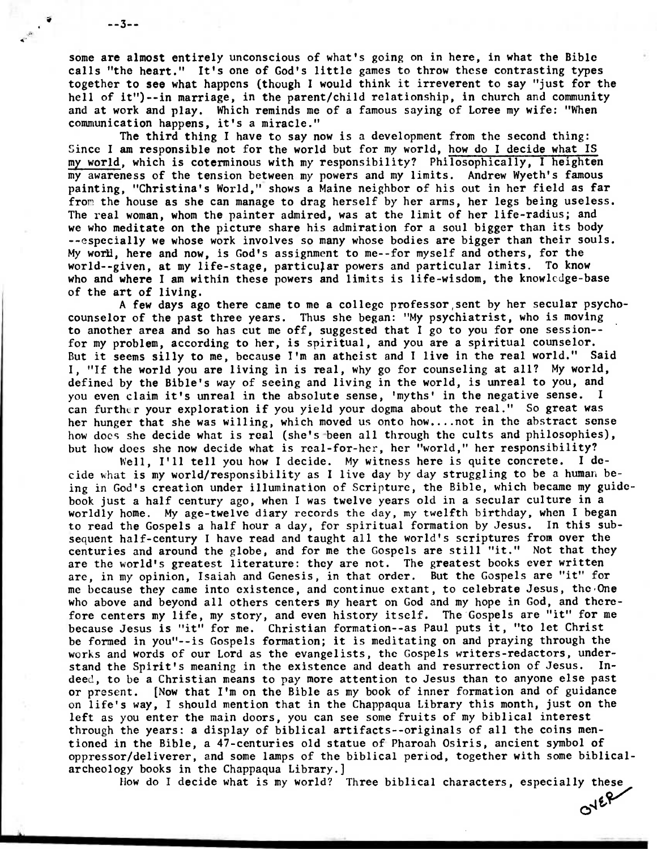**some are almost entirely unconscious of what's going on in here, in what the Bible calls "the heart." It's one of God's little games to throw these contrasting types together to see what happens (though I would think it irreverent to say "just for the hell of it")--in marriage, in the parent/child relationship, in church and community and at work and play. Which reminds me of a famous saying of Loree my wife: "When communication happens, it's a miracle."** 

 $-3-$ 

**The third thing I have to say now is a development from the second thing: Since I am responsible not for the world but for my world, how do I decide what IS my world, which is coterminous with my responsibility? Philosophically, I heighten my awareness of the tension between my powers and my limits. Andrew Wyeth's famous painting, "Christina's World," shows a Maine neighbor of his out in her field as far fror the house as she can manage to drag herself by her arms, her legs being useless. The real woman, whom the painter admired, was at the limit of her life-radius; and we who meditate on the picture share his admiration for a soul bigger than its body --especially we whose work involves so many whose bodies are bigger than their souls.**  My world, here and now, is God's assignment to me--for myself and others, for the world--given, at my life-stage, particular powers and particular limits. To know **who and where I am within these powers and limits is life-wisdom, the knowledge-base of the art of living.** 

**A few days ago there came to me a college professor,sent by her secular psychocounselor of the past three years. Thus she began: "My psychiatrist, who is moving to another area and so has cut me off, suggested that I go to you for one session- for my problem, according to her, is spiritual, and you are a spiritual counselor. But it seems silly to me, because I'm an atheist and I live in the real world." Said I, "If the world you are living in is real, why go for counseling at all? My world, defined by the Bible's way of seeing and living in the world, is unreal to you, and you even claim it's unreal in the absolute sense, 'myths' in the negative sense. I**  can further your exploration if you yield your dogma about the real." So great was **her hunger that she was willing, which moved us onto how....not in the abstract sense how does she decide what is real (she's been all through the cults and philosophies), but how does she now decide what is real-for-her, her "world," her responsibility?** 

**Well, I'll tell you how I decide. My witness here is quite concrete. I decide what is my world/responsibility as I live day by day struggling to be a human being in God's creation under illumination of Scripture, the Bible, which became my guidebook just a half century ago, when I was twelve years old in a secular culture in a worldly home. My age-twelve diary records the day, my twelfth birthday, when I began to read the Gospels a half hour a day, for spiritual formation by Jesus. In this subsequent half-century I have read and taught all the world's scriptures from over the centuries and around the globe, and for me the Gospels are still "it." Not that they are the world's greatest literature: they are not. The greatest books ever written are, in my opinion, Isaiah and Genesis, in that order. But the Gospels are "it" for me because they came into existence, and continue extant, to celebrate Jesus, the , One who above and beyond all others centers my heart on God and my hope in God, and therefore centers my life, my story, and even history itself. The Gospels are "it" for me because Jesus is "it" for me. Christian formation--as Paul puts it, "to let Christ be formed in you"--is Gospels formation; it is meditating on and praying through the works and words of our Lord as the evangelists, the Gospels writers-redactors, understand the Spirit's meaning in the existence and death and resurrection of Jesus. Indeed, to be a Christian means to pay more attention to Jesus than to anyone else past or present. [Now that I'm on the Bible as my book of inner formation and of guidance on life's way, I should mention that in the Chappaqua Library this month, just on the left as you enter the main doors, you can see some fruits of my biblical interest through the years: a display of biblical artifacts--originals of all the coins mentioned in the Bible, a 47-centuries old statue of Pharoah Osiris, ancient symbol of oppressor/deliverer, and some lamps of the biblical period, together with some biblicalarcheology books in the Chappaqua Library.]** 

**How do I decide what is my world? Three biblical characters, especially these** 

**07**  $e^{\varphi}$